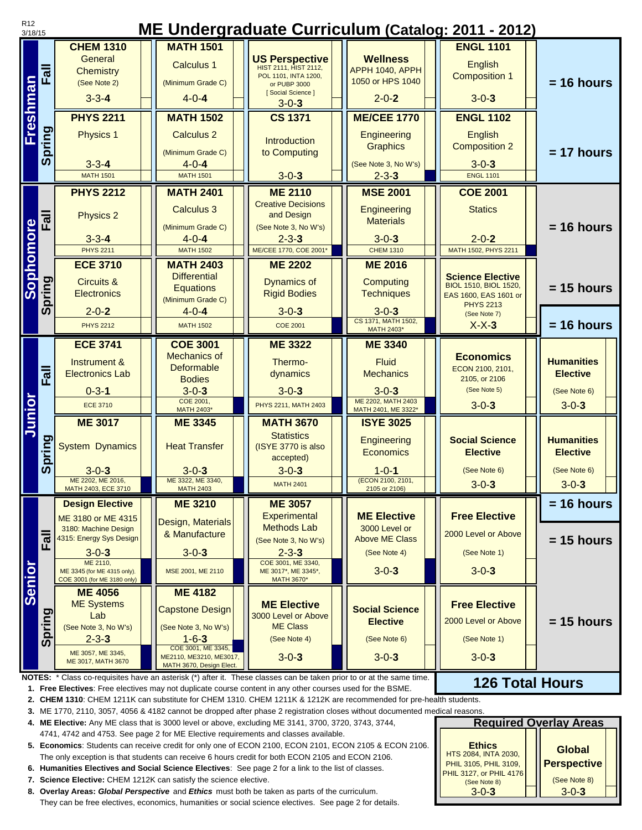| <b>MATH 1501</b><br><b>ENGL 1101</b><br><b>CHEM 1310</b><br>General<br><b>Wellness</b><br><b>US Perspective</b><br>English<br><b>Calculus 1</b><br><b>HIST 2111, HIST 2112,</b><br>Fall<br>APPH 1040, APPH<br><b>Chemistry</b><br><b>Composition 1</b><br>POL 1101, INTA 1200,<br>1050 or HPS 1040<br>$= 16$ hours<br>(See Note 2)<br>(Minimum Grade C)<br>or PUBP 3000<br>[Social Science]<br>$3 - 3 - 4$<br>$4 - 0 - 4$<br>$2 - 0 - 2$<br>$3 - 0 - 3$<br>$3 - 0 - 3$<br><b>PHYS 2211</b><br><b>MATH 1502</b><br><b>CS 1371</b><br><b>ME/CEE 1770</b><br><b>ENGL 1102</b><br><b>Spring</b><br><b>Physics 1</b><br>Engineering<br>English<br><b>Calculus 2</b><br>Introduction<br><b>Graphics</b><br><b>Composition 2</b><br>$= 17$ hours<br>to Computing<br>(Minimum Grade C)<br>$3 - 3 - 4$<br>$4 - 0 - 4$<br>(See Note 3, No W's)<br>$3 - 0 - 3$<br>$3 - 0 - 3$<br>$2 - 3 - 3$<br><b>ENGL 1101</b><br><b>MATH 1501</b><br><b>MATH 1501</b><br><b>PHYS 2212</b><br><b>MATH 2401</b><br><b>ME 2110</b><br><b>MSE 2001</b><br><b>COE 2001</b><br><b>Creative Decisions</b><br>Engineering<br>Calculus 3<br><b>Statics</b><br>Fall<br>Physics 2<br>and Design<br><b>Materials</b><br>Sophomore<br>$= 16$ hours<br>(See Note 3, No W's)<br>(Minimum Grade C)<br>$2 - 0 - 2$<br>$3 - 3 - 4$<br>$4 - 0 - 4$<br>$2 - 3 - 3$<br>$3 - 0 - 3$<br><b>PHYS 2211</b><br>ME/CEE 1770, COE 2001*<br><b>MATH 1502</b><br><b>CHEM 1310</b><br>MATH 1502, PHYS 2211<br><b>ECE 3710</b><br><b>MATH 2403</b><br><b>ME 2202</b><br><b>ME 2016</b><br><b>Differential</b><br><b>Science Elective</b><br>Spring<br><b>Circuits &amp;</b><br><b>Dynamics of</b><br>Computing<br>BIOL 1510, BIOL 1520,<br>$= 15$ hours<br><b>Equations</b><br><b>Electronics</b><br><b>Rigid Bodies</b><br><b>Techniques</b><br>EAS 1600, EAS 1601 or<br>(Minimum Grade C)<br><b>PHYS 2213</b><br>$3 - 0 - 3$<br>$2 - 0 - 2$<br>$4 - 0 - 4$<br>$3 - 0 - 3$<br>(See Note 7)<br>CS 1371, MATH 1502,<br>$= 16$ hours<br><b>PHYS 2212</b><br><b>MATH 1502</b><br><b>COE 2001</b><br>$X-X-3$<br>MATH 2403*<br><b>ECE 3741</b><br><b>ME 3322</b><br><b>COE 3001</b><br><b>ME 3340</b><br><b>Mechanics of</b><br><b>Economics</b><br><b>Humanities</b><br>Instrument &<br>Thermo-<br><b>Fluid</b><br>Deformable<br>ECON 2100, 2101,<br>$\overline{E}$<br><b>Electronics Lab</b><br><b>Mechanics</b><br>dynamics<br><b>Elective</b><br>2105, or 2106<br><b>Bodies</b><br>(See Note 5)<br>$3 - 0 - 3$<br>$3 - 0 - 3$<br>$3 - 0 - 3$<br>$0 - 3 - 1$<br>(See Note 6)<br>Junior<br>ME 2202, MATH 2403<br>COE 2001,<br>$3 - 0 - 3$<br><b>ECE 3710</b><br>PHYS 2211, MATH 2403<br>$3 - 0 - 3$<br>MATH 2403*<br>MATH 2401, ME 3322*<br><b>ME 3017</b><br><b>MATH 3670</b><br><b>ME 3345</b><br><b>ISYE 3025</b><br><b>Statistics</b><br><b>Spring</b><br><b>Social Science</b><br><b>Humanities</b><br>Engineering<br><b>Heat Transfer</b><br><b>System Dynamics</b><br>(ISYE 3770 is also<br>Economics<br><b>Elective</b><br><b>Elective</b><br>accepted)<br>$3 - 0 - 3$<br>$3 - 0 - 3$<br>$3 - 0 - 3$<br>$1 - 0 - 1$<br>(See Note 6)<br>(See Note 6)<br>ME 3322, ME 3340,<br>(ECON 2100, 2101,<br>ME 2202, ME 2016,<br>$3 - 0 - 3$<br>$3 - 0 - 3$<br><b>MATH 2401</b><br><b>MATH 2403</b><br>MATH 2403, ECE 3710<br>2105 or 2106)<br>$= 16$ hours<br><b>ME 3210</b><br><b>ME 3057</b><br><b>Design Elective</b><br><b>Free Elective</b><br><b>Experimental</b><br><b>ME Elective</b><br>ME 3180 or ME 4315<br>Design, Materials<br><b>Methods Lab</b><br>3000 Level or<br>3180: Machine Design<br>& Manufacture<br>2000 Level or Above<br>듷<br>4315: Energy Sys Design<br>$= 15$ hours<br><b>Above ME Class</b><br>(See Note 3, No W's)<br>ш.<br>$3 - 0 - 3$<br>$3 - 0 - 3$<br>$2 - 3 - 3$<br>(See Note 4)<br>(See Note 1)<br>Senior<br>ME 2110,<br>COE 3001, ME 3340,<br>$3 - 0 - 3$<br>$3 - 0 - 3$<br>MSE 2001, ME 2110<br>ME 3345 (for ME 4315 only),<br>ME 3017*, ME 3345*,<br>COE 3001 (for ME 3180 only)<br><b>MATH 3670*</b><br><b>ME 4182</b><br><b>ME 4056</b><br><b>ME Systems</b><br><b>ME Elective</b><br><b>Free Elective</b><br><b>Social Science</b><br><b>Capstone Design</b><br>Spring<br>Lab<br>3000 Level or Above<br>$= 15$ hours<br>2000 Level or Above<br><b>Elective</b><br><b>ME Class</b><br>(See Note 3, No W's)<br>(See Note 3, No W's)<br>$2 - 3 - 3$<br>$1 - 6 - 3$<br>(See Note 4)<br>(See Note 6)<br>(See Note 1)<br>COE 3001, ME 3345,<br>ME 3057, ME 3345,<br>$3 - 0 - 3$<br>$3 - 0 - 3$<br>$3 - 0 - 3$<br>ME2110, ME3210, ME3017,<br>ME 3017, MATH 3670<br>MATH 3670, Design Elect.<br><b>126 Total Hours</b><br>1. Free Electives: Free electives may not duplicate course content in any other courses used for the BSME.<br>2. CHEM 1310: CHEM 1211K can substitute for CHEM 1310. CHEM 1211K & 1212K are recommended for pre-health students.<br>3. ME 1770, 2110, 3057, 4056 & 4182 cannot be dropped after phase 2 registration closes without documented medical reasons.<br><b>Required Overlay Areas</b><br>4. ME Elective: Any ME class that is 3000 level or above, excluding ME 3141, 3700, 3720, 3743, 3744,<br>4741, 4742 and 4753. See page 2 for ME Elective requirements and classes available.<br>5. Economics: Students can receive credit for only one of ECON 2100, ECON 2101, ECON 2105 & ECON 2106.<br><b>Ethics</b><br><b>Global</b><br>HTS 2084, INTA 2030,<br>The only exception is that students can receive 6 hours credit for both ECON 2105 and ECON 2106.<br><b>Perspective</b><br>PHIL 3105, PHIL 3109,<br>6. Humanities Electives and Social Science Electives: See page 2 for a link to the list of classes.<br>PHIL 3127, or PHIL 4176<br>(See Note 8)<br>7. Science Elective: CHEM 1212K can satisfy the science elective.<br>(See Note 8)<br>$3 - 0 - 3$<br>$3 - 0 - 3$<br>8. Overlay Areas: Global Perspective and Ethics must both be taken as parts of the curriculum. | R <sub>12</sub><br>3/18/15 | ME Undergraduate Curriculum (Catalog: 2011 - 2012) |  |  |  |  |  |  |  |  |
|----------------------------------------------------------------------------------------------------------------------------------------------------------------------------------------------------------------------------------------------------------------------------------------------------------------------------------------------------------------------------------------------------------------------------------------------------------------------------------------------------------------------------------------------------------------------------------------------------------------------------------------------------------------------------------------------------------------------------------------------------------------------------------------------------------------------------------------------------------------------------------------------------------------------------------------------------------------------------------------------------------------------------------------------------------------------------------------------------------------------------------------------------------------------------------------------------------------------------------------------------------------------------------------------------------------------------------------------------------------------------------------------------------------------------------------------------------------------------------------------------------------------------------------------------------------------------------------------------------------------------------------------------------------------------------------------------------------------------------------------------------------------------------------------------------------------------------------------------------------------------------------------------------------------------------------------------------------------------------------------------------------------------------------------------------------------------------------------------------------------------------------------------------------------------------------------------------------------------------------------------------------------------------------------------------------------------------------------------------------------------------------------------------------------------------------------------------------------------------------------------------------------------------------------------------------------------------------------------------------------------------------------------------------------------------------------------------------------------------------------------------------------------------------------------------------------------------------------------------------------------------------------------------------------------------------------------------------------------------------------------------------------------------------------------------------------------------------------------------------------------------------------------------------------------------------------------------------------------------------------------------------------------------------------------------------------------------------------------------------------------------------------------------------------------------------------------------------------------------------------------------------------------------------------------------------------------------------------------------------------------------------------------------------------------------------------------------------------------------------------------------------------------------------------------------------------------------------------------------------------------------------------------------------------------------------------------------------------------------------------------------------------------------------------------------------------------------------------------------------------------------------------------------------------------------------------------------------------------------------------------------------------------------------------------------------------------------------------------------------------------------------------------------------------------------------------------------------------------------------------------------------------------------------------------------------------------------------------------------------------------------------------------------------------------------------------------------------------------------------------------------------------------------------------------------------------------------------------------------------------------------------------------------------------------------------------------------------------------------------------------------------------------------------------------------------------------------------------------------------------------------------------------------------------------------------------------------------------------------------------------------------------------------------------------------------------------------------------------------------------------------------------------------------------------------------------------------------------------------------------------------------------------------------------------------------------------------------------------------------------------------------------------------------------------------------------------------------------------------------------------------------------------------------------------------------------------------------------------------------------------------------------|----------------------------|----------------------------------------------------|--|--|--|--|--|--|--|--|
|                                                                                                                                                                                                                                                                                                                                                                                                                                                                                                                                                                                                                                                                                                                                                                                                                                                                                                                                                                                                                                                                                                                                                                                                                                                                                                                                                                                                                                                                                                                                                                                                                                                                                                                                                                                                                                                                                                                                                                                                                                                                                                                                                                                                                                                                                                                                                                                                                                                                                                                                                                                                                                                                                                                                                                                                                                                                                                                                                                                                                                                                                                                                                                                                                                                                                                                                                                                                                                                                                                                                                                                                                                                                                                                                                                                                                                                                                                                                                                                                                                                                                                                                                                                                                                                                                                                                                                                                                                                                                                                                                                                                                                                                                                                                                                                                                                                                                                                                                                                                                                                                                                                                                                                                                                                                                                                                                                                                                                                                                                                                                                                                                                                                                                                                                                                                                                                                                              |                            |                                                    |  |  |  |  |  |  |  |  |
| Freshman                                                                                                                                                                                                                                                                                                                                                                                                                                                                                                                                                                                                                                                                                                                                                                                                                                                                                                                                                                                                                                                                                                                                                                                                                                                                                                                                                                                                                                                                                                                                                                                                                                                                                                                                                                                                                                                                                                                                                                                                                                                                                                                                                                                                                                                                                                                                                                                                                                                                                                                                                                                                                                                                                                                                                                                                                                                                                                                                                                                                                                                                                                                                                                                                                                                                                                                                                                                                                                                                                                                                                                                                                                                                                                                                                                                                                                                                                                                                                                                                                                                                                                                                                                                                                                                                                                                                                                                                                                                                                                                                                                                                                                                                                                                                                                                                                                                                                                                                                                                                                                                                                                                                                                                                                                                                                                                                                                                                                                                                                                                                                                                                                                                                                                                                                                                                                                                                                     |                            |                                                    |  |  |  |  |  |  |  |  |
|                                                                                                                                                                                                                                                                                                                                                                                                                                                                                                                                                                                                                                                                                                                                                                                                                                                                                                                                                                                                                                                                                                                                                                                                                                                                                                                                                                                                                                                                                                                                                                                                                                                                                                                                                                                                                                                                                                                                                                                                                                                                                                                                                                                                                                                                                                                                                                                                                                                                                                                                                                                                                                                                                                                                                                                                                                                                                                                                                                                                                                                                                                                                                                                                                                                                                                                                                                                                                                                                                                                                                                                                                                                                                                                                                                                                                                                                                                                                                                                                                                                                                                                                                                                                                                                                                                                                                                                                                                                                                                                                                                                                                                                                                                                                                                                                                                                                                                                                                                                                                                                                                                                                                                                                                                                                                                                                                                                                                                                                                                                                                                                                                                                                                                                                                                                                                                                                                              |                            |                                                    |  |  |  |  |  |  |  |  |
|                                                                                                                                                                                                                                                                                                                                                                                                                                                                                                                                                                                                                                                                                                                                                                                                                                                                                                                                                                                                                                                                                                                                                                                                                                                                                                                                                                                                                                                                                                                                                                                                                                                                                                                                                                                                                                                                                                                                                                                                                                                                                                                                                                                                                                                                                                                                                                                                                                                                                                                                                                                                                                                                                                                                                                                                                                                                                                                                                                                                                                                                                                                                                                                                                                                                                                                                                                                                                                                                                                                                                                                                                                                                                                                                                                                                                                                                                                                                                                                                                                                                                                                                                                                                                                                                                                                                                                                                                                                                                                                                                                                                                                                                                                                                                                                                                                                                                                                                                                                                                                                                                                                                                                                                                                                                                                                                                                                                                                                                                                                                                                                                                                                                                                                                                                                                                                                                                              |                            |                                                    |  |  |  |  |  |  |  |  |
|                                                                                                                                                                                                                                                                                                                                                                                                                                                                                                                                                                                                                                                                                                                                                                                                                                                                                                                                                                                                                                                                                                                                                                                                                                                                                                                                                                                                                                                                                                                                                                                                                                                                                                                                                                                                                                                                                                                                                                                                                                                                                                                                                                                                                                                                                                                                                                                                                                                                                                                                                                                                                                                                                                                                                                                                                                                                                                                                                                                                                                                                                                                                                                                                                                                                                                                                                                                                                                                                                                                                                                                                                                                                                                                                                                                                                                                                                                                                                                                                                                                                                                                                                                                                                                                                                                                                                                                                                                                                                                                                                                                                                                                                                                                                                                                                                                                                                                                                                                                                                                                                                                                                                                                                                                                                                                                                                                                                                                                                                                                                                                                                                                                                                                                                                                                                                                                                                              |                            |                                                    |  |  |  |  |  |  |  |  |
|                                                                                                                                                                                                                                                                                                                                                                                                                                                                                                                                                                                                                                                                                                                                                                                                                                                                                                                                                                                                                                                                                                                                                                                                                                                                                                                                                                                                                                                                                                                                                                                                                                                                                                                                                                                                                                                                                                                                                                                                                                                                                                                                                                                                                                                                                                                                                                                                                                                                                                                                                                                                                                                                                                                                                                                                                                                                                                                                                                                                                                                                                                                                                                                                                                                                                                                                                                                                                                                                                                                                                                                                                                                                                                                                                                                                                                                                                                                                                                                                                                                                                                                                                                                                                                                                                                                                                                                                                                                                                                                                                                                                                                                                                                                                                                                                                                                                                                                                                                                                                                                                                                                                                                                                                                                                                                                                                                                                                                                                                                                                                                                                                                                                                                                                                                                                                                                                                              |                            |                                                    |  |  |  |  |  |  |  |  |
|                                                                                                                                                                                                                                                                                                                                                                                                                                                                                                                                                                                                                                                                                                                                                                                                                                                                                                                                                                                                                                                                                                                                                                                                                                                                                                                                                                                                                                                                                                                                                                                                                                                                                                                                                                                                                                                                                                                                                                                                                                                                                                                                                                                                                                                                                                                                                                                                                                                                                                                                                                                                                                                                                                                                                                                                                                                                                                                                                                                                                                                                                                                                                                                                                                                                                                                                                                                                                                                                                                                                                                                                                                                                                                                                                                                                                                                                                                                                                                                                                                                                                                                                                                                                                                                                                                                                                                                                                                                                                                                                                                                                                                                                                                                                                                                                                                                                                                                                                                                                                                                                                                                                                                                                                                                                                                                                                                                                                                                                                                                                                                                                                                                                                                                                                                                                                                                                                              |                            |                                                    |  |  |  |  |  |  |  |  |
|                                                                                                                                                                                                                                                                                                                                                                                                                                                                                                                                                                                                                                                                                                                                                                                                                                                                                                                                                                                                                                                                                                                                                                                                                                                                                                                                                                                                                                                                                                                                                                                                                                                                                                                                                                                                                                                                                                                                                                                                                                                                                                                                                                                                                                                                                                                                                                                                                                                                                                                                                                                                                                                                                                                                                                                                                                                                                                                                                                                                                                                                                                                                                                                                                                                                                                                                                                                                                                                                                                                                                                                                                                                                                                                                                                                                                                                                                                                                                                                                                                                                                                                                                                                                                                                                                                                                                                                                                                                                                                                                                                                                                                                                                                                                                                                                                                                                                                                                                                                                                                                                                                                                                                                                                                                                                                                                                                                                                                                                                                                                                                                                                                                                                                                                                                                                                                                                                              |                            |                                                    |  |  |  |  |  |  |  |  |
|                                                                                                                                                                                                                                                                                                                                                                                                                                                                                                                                                                                                                                                                                                                                                                                                                                                                                                                                                                                                                                                                                                                                                                                                                                                                                                                                                                                                                                                                                                                                                                                                                                                                                                                                                                                                                                                                                                                                                                                                                                                                                                                                                                                                                                                                                                                                                                                                                                                                                                                                                                                                                                                                                                                                                                                                                                                                                                                                                                                                                                                                                                                                                                                                                                                                                                                                                                                                                                                                                                                                                                                                                                                                                                                                                                                                                                                                                                                                                                                                                                                                                                                                                                                                                                                                                                                                                                                                                                                                                                                                                                                                                                                                                                                                                                                                                                                                                                                                                                                                                                                                                                                                                                                                                                                                                                                                                                                                                                                                                                                                                                                                                                                                                                                                                                                                                                                                                              |                            |                                                    |  |  |  |  |  |  |  |  |
|                                                                                                                                                                                                                                                                                                                                                                                                                                                                                                                                                                                                                                                                                                                                                                                                                                                                                                                                                                                                                                                                                                                                                                                                                                                                                                                                                                                                                                                                                                                                                                                                                                                                                                                                                                                                                                                                                                                                                                                                                                                                                                                                                                                                                                                                                                                                                                                                                                                                                                                                                                                                                                                                                                                                                                                                                                                                                                                                                                                                                                                                                                                                                                                                                                                                                                                                                                                                                                                                                                                                                                                                                                                                                                                                                                                                                                                                                                                                                                                                                                                                                                                                                                                                                                                                                                                                                                                                                                                                                                                                                                                                                                                                                                                                                                                                                                                                                                                                                                                                                                                                                                                                                                                                                                                                                                                                                                                                                                                                                                                                                                                                                                                                                                                                                                                                                                                                                              |                            |                                                    |  |  |  |  |  |  |  |  |
|                                                                                                                                                                                                                                                                                                                                                                                                                                                                                                                                                                                                                                                                                                                                                                                                                                                                                                                                                                                                                                                                                                                                                                                                                                                                                                                                                                                                                                                                                                                                                                                                                                                                                                                                                                                                                                                                                                                                                                                                                                                                                                                                                                                                                                                                                                                                                                                                                                                                                                                                                                                                                                                                                                                                                                                                                                                                                                                                                                                                                                                                                                                                                                                                                                                                                                                                                                                                                                                                                                                                                                                                                                                                                                                                                                                                                                                                                                                                                                                                                                                                                                                                                                                                                                                                                                                                                                                                                                                                                                                                                                                                                                                                                                                                                                                                                                                                                                                                                                                                                                                                                                                                                                                                                                                                                                                                                                                                                                                                                                                                                                                                                                                                                                                                                                                                                                                                                              |                            |                                                    |  |  |  |  |  |  |  |  |
|                                                                                                                                                                                                                                                                                                                                                                                                                                                                                                                                                                                                                                                                                                                                                                                                                                                                                                                                                                                                                                                                                                                                                                                                                                                                                                                                                                                                                                                                                                                                                                                                                                                                                                                                                                                                                                                                                                                                                                                                                                                                                                                                                                                                                                                                                                                                                                                                                                                                                                                                                                                                                                                                                                                                                                                                                                                                                                                                                                                                                                                                                                                                                                                                                                                                                                                                                                                                                                                                                                                                                                                                                                                                                                                                                                                                                                                                                                                                                                                                                                                                                                                                                                                                                                                                                                                                                                                                                                                                                                                                                                                                                                                                                                                                                                                                                                                                                                                                                                                                                                                                                                                                                                                                                                                                                                                                                                                                                                                                                                                                                                                                                                                                                                                                                                                                                                                                                              |                            |                                                    |  |  |  |  |  |  |  |  |
|                                                                                                                                                                                                                                                                                                                                                                                                                                                                                                                                                                                                                                                                                                                                                                                                                                                                                                                                                                                                                                                                                                                                                                                                                                                                                                                                                                                                                                                                                                                                                                                                                                                                                                                                                                                                                                                                                                                                                                                                                                                                                                                                                                                                                                                                                                                                                                                                                                                                                                                                                                                                                                                                                                                                                                                                                                                                                                                                                                                                                                                                                                                                                                                                                                                                                                                                                                                                                                                                                                                                                                                                                                                                                                                                                                                                                                                                                                                                                                                                                                                                                                                                                                                                                                                                                                                                                                                                                                                                                                                                                                                                                                                                                                                                                                                                                                                                                                                                                                                                                                                                                                                                                                                                                                                                                                                                                                                                                                                                                                                                                                                                                                                                                                                                                                                                                                                                                              |                            |                                                    |  |  |  |  |  |  |  |  |
|                                                                                                                                                                                                                                                                                                                                                                                                                                                                                                                                                                                                                                                                                                                                                                                                                                                                                                                                                                                                                                                                                                                                                                                                                                                                                                                                                                                                                                                                                                                                                                                                                                                                                                                                                                                                                                                                                                                                                                                                                                                                                                                                                                                                                                                                                                                                                                                                                                                                                                                                                                                                                                                                                                                                                                                                                                                                                                                                                                                                                                                                                                                                                                                                                                                                                                                                                                                                                                                                                                                                                                                                                                                                                                                                                                                                                                                                                                                                                                                                                                                                                                                                                                                                                                                                                                                                                                                                                                                                                                                                                                                                                                                                                                                                                                                                                                                                                                                                                                                                                                                                                                                                                                                                                                                                                                                                                                                                                                                                                                                                                                                                                                                                                                                                                                                                                                                                                              |                            |                                                    |  |  |  |  |  |  |  |  |
|                                                                                                                                                                                                                                                                                                                                                                                                                                                                                                                                                                                                                                                                                                                                                                                                                                                                                                                                                                                                                                                                                                                                                                                                                                                                                                                                                                                                                                                                                                                                                                                                                                                                                                                                                                                                                                                                                                                                                                                                                                                                                                                                                                                                                                                                                                                                                                                                                                                                                                                                                                                                                                                                                                                                                                                                                                                                                                                                                                                                                                                                                                                                                                                                                                                                                                                                                                                                                                                                                                                                                                                                                                                                                                                                                                                                                                                                                                                                                                                                                                                                                                                                                                                                                                                                                                                                                                                                                                                                                                                                                                                                                                                                                                                                                                                                                                                                                                                                                                                                                                                                                                                                                                                                                                                                                                                                                                                                                                                                                                                                                                                                                                                                                                                                                                                                                                                                                              |                            |                                                    |  |  |  |  |  |  |  |  |
|                                                                                                                                                                                                                                                                                                                                                                                                                                                                                                                                                                                                                                                                                                                                                                                                                                                                                                                                                                                                                                                                                                                                                                                                                                                                                                                                                                                                                                                                                                                                                                                                                                                                                                                                                                                                                                                                                                                                                                                                                                                                                                                                                                                                                                                                                                                                                                                                                                                                                                                                                                                                                                                                                                                                                                                                                                                                                                                                                                                                                                                                                                                                                                                                                                                                                                                                                                                                                                                                                                                                                                                                                                                                                                                                                                                                                                                                                                                                                                                                                                                                                                                                                                                                                                                                                                                                                                                                                                                                                                                                                                                                                                                                                                                                                                                                                                                                                                                                                                                                                                                                                                                                                                                                                                                                                                                                                                                                                                                                                                                                                                                                                                                                                                                                                                                                                                                                                              |                            |                                                    |  |  |  |  |  |  |  |  |
| NOTES: * Class co-requisites have an asterisk (*) after it. These classes can be taken prior to or at the same time.                                                                                                                                                                                                                                                                                                                                                                                                                                                                                                                                                                                                                                                                                                                                                                                                                                                                                                                                                                                                                                                                                                                                                                                                                                                                                                                                                                                                                                                                                                                                                                                                                                                                                                                                                                                                                                                                                                                                                                                                                                                                                                                                                                                                                                                                                                                                                                                                                                                                                                                                                                                                                                                                                                                                                                                                                                                                                                                                                                                                                                                                                                                                                                                                                                                                                                                                                                                                                                                                                                                                                                                                                                                                                                                                                                                                                                                                                                                                                                                                                                                                                                                                                                                                                                                                                                                                                                                                                                                                                                                                                                                                                                                                                                                                                                                                                                                                                                                                                                                                                                                                                                                                                                                                                                                                                                                                                                                                                                                                                                                                                                                                                                                                                                                                                                         |                            |                                                    |  |  |  |  |  |  |  |  |
|                                                                                                                                                                                                                                                                                                                                                                                                                                                                                                                                                                                                                                                                                                                                                                                                                                                                                                                                                                                                                                                                                                                                                                                                                                                                                                                                                                                                                                                                                                                                                                                                                                                                                                                                                                                                                                                                                                                                                                                                                                                                                                                                                                                                                                                                                                                                                                                                                                                                                                                                                                                                                                                                                                                                                                                                                                                                                                                                                                                                                                                                                                                                                                                                                                                                                                                                                                                                                                                                                                                                                                                                                                                                                                                                                                                                                                                                                                                                                                                                                                                                                                                                                                                                                                                                                                                                                                                                                                                                                                                                                                                                                                                                                                                                                                                                                                                                                                                                                                                                                                                                                                                                                                                                                                                                                                                                                                                                                                                                                                                                                                                                                                                                                                                                                                                                                                                                                              |                            |                                                    |  |  |  |  |  |  |  |  |
|                                                                                                                                                                                                                                                                                                                                                                                                                                                                                                                                                                                                                                                                                                                                                                                                                                                                                                                                                                                                                                                                                                                                                                                                                                                                                                                                                                                                                                                                                                                                                                                                                                                                                                                                                                                                                                                                                                                                                                                                                                                                                                                                                                                                                                                                                                                                                                                                                                                                                                                                                                                                                                                                                                                                                                                                                                                                                                                                                                                                                                                                                                                                                                                                                                                                                                                                                                                                                                                                                                                                                                                                                                                                                                                                                                                                                                                                                                                                                                                                                                                                                                                                                                                                                                                                                                                                                                                                                                                                                                                                                                                                                                                                                                                                                                                                                                                                                                                                                                                                                                                                                                                                                                                                                                                                                                                                                                                                                                                                                                                                                                                                                                                                                                                                                                                                                                                                                              |                            |                                                    |  |  |  |  |  |  |  |  |
|                                                                                                                                                                                                                                                                                                                                                                                                                                                                                                                                                                                                                                                                                                                                                                                                                                                                                                                                                                                                                                                                                                                                                                                                                                                                                                                                                                                                                                                                                                                                                                                                                                                                                                                                                                                                                                                                                                                                                                                                                                                                                                                                                                                                                                                                                                                                                                                                                                                                                                                                                                                                                                                                                                                                                                                                                                                                                                                                                                                                                                                                                                                                                                                                                                                                                                                                                                                                                                                                                                                                                                                                                                                                                                                                                                                                                                                                                                                                                                                                                                                                                                                                                                                                                                                                                                                                                                                                                                                                                                                                                                                                                                                                                                                                                                                                                                                                                                                                                                                                                                                                                                                                                                                                                                                                                                                                                                                                                                                                                                                                                                                                                                                                                                                                                                                                                                                                                              |                            |                                                    |  |  |  |  |  |  |  |  |
|                                                                                                                                                                                                                                                                                                                                                                                                                                                                                                                                                                                                                                                                                                                                                                                                                                                                                                                                                                                                                                                                                                                                                                                                                                                                                                                                                                                                                                                                                                                                                                                                                                                                                                                                                                                                                                                                                                                                                                                                                                                                                                                                                                                                                                                                                                                                                                                                                                                                                                                                                                                                                                                                                                                                                                                                                                                                                                                                                                                                                                                                                                                                                                                                                                                                                                                                                                                                                                                                                                                                                                                                                                                                                                                                                                                                                                                                                                                                                                                                                                                                                                                                                                                                                                                                                                                                                                                                                                                                                                                                                                                                                                                                                                                                                                                                                                                                                                                                                                                                                                                                                                                                                                                                                                                                                                                                                                                                                                                                                                                                                                                                                                                                                                                                                                                                                                                                                              |                            |                                                    |  |  |  |  |  |  |  |  |
|                                                                                                                                                                                                                                                                                                                                                                                                                                                                                                                                                                                                                                                                                                                                                                                                                                                                                                                                                                                                                                                                                                                                                                                                                                                                                                                                                                                                                                                                                                                                                                                                                                                                                                                                                                                                                                                                                                                                                                                                                                                                                                                                                                                                                                                                                                                                                                                                                                                                                                                                                                                                                                                                                                                                                                                                                                                                                                                                                                                                                                                                                                                                                                                                                                                                                                                                                                                                                                                                                                                                                                                                                                                                                                                                                                                                                                                                                                                                                                                                                                                                                                                                                                                                                                                                                                                                                                                                                                                                                                                                                                                                                                                                                                                                                                                                                                                                                                                                                                                                                                                                                                                                                                                                                                                                                                                                                                                                                                                                                                                                                                                                                                                                                                                                                                                                                                                                                              |                            |                                                    |  |  |  |  |  |  |  |  |
|                                                                                                                                                                                                                                                                                                                                                                                                                                                                                                                                                                                                                                                                                                                                                                                                                                                                                                                                                                                                                                                                                                                                                                                                                                                                                                                                                                                                                                                                                                                                                                                                                                                                                                                                                                                                                                                                                                                                                                                                                                                                                                                                                                                                                                                                                                                                                                                                                                                                                                                                                                                                                                                                                                                                                                                                                                                                                                                                                                                                                                                                                                                                                                                                                                                                                                                                                                                                                                                                                                                                                                                                                                                                                                                                                                                                                                                                                                                                                                                                                                                                                                                                                                                                                                                                                                                                                                                                                                                                                                                                                                                                                                                                                                                                                                                                                                                                                                                                                                                                                                                                                                                                                                                                                                                                                                                                                                                                                                                                                                                                                                                                                                                                                                                                                                                                                                                                                              |                            |                                                    |  |  |  |  |  |  |  |  |
|                                                                                                                                                                                                                                                                                                                                                                                                                                                                                                                                                                                                                                                                                                                                                                                                                                                                                                                                                                                                                                                                                                                                                                                                                                                                                                                                                                                                                                                                                                                                                                                                                                                                                                                                                                                                                                                                                                                                                                                                                                                                                                                                                                                                                                                                                                                                                                                                                                                                                                                                                                                                                                                                                                                                                                                                                                                                                                                                                                                                                                                                                                                                                                                                                                                                                                                                                                                                                                                                                                                                                                                                                                                                                                                                                                                                                                                                                                                                                                                                                                                                                                                                                                                                                                                                                                                                                                                                                                                                                                                                                                                                                                                                                                                                                                                                                                                                                                                                                                                                                                                                                                                                                                                                                                                                                                                                                                                                                                                                                                                                                                                                                                                                                                                                                                                                                                                                                              |                            |                                                    |  |  |  |  |  |  |  |  |
|                                                                                                                                                                                                                                                                                                                                                                                                                                                                                                                                                                                                                                                                                                                                                                                                                                                                                                                                                                                                                                                                                                                                                                                                                                                                                                                                                                                                                                                                                                                                                                                                                                                                                                                                                                                                                                                                                                                                                                                                                                                                                                                                                                                                                                                                                                                                                                                                                                                                                                                                                                                                                                                                                                                                                                                                                                                                                                                                                                                                                                                                                                                                                                                                                                                                                                                                                                                                                                                                                                                                                                                                                                                                                                                                                                                                                                                                                                                                                                                                                                                                                                                                                                                                                                                                                                                                                                                                                                                                                                                                                                                                                                                                                                                                                                                                                                                                                                                                                                                                                                                                                                                                                                                                                                                                                                                                                                                                                                                                                                                                                                                                                                                                                                                                                                                                                                                                                              |                            |                                                    |  |  |  |  |  |  |  |  |
|                                                                                                                                                                                                                                                                                                                                                                                                                                                                                                                                                                                                                                                                                                                                                                                                                                                                                                                                                                                                                                                                                                                                                                                                                                                                                                                                                                                                                                                                                                                                                                                                                                                                                                                                                                                                                                                                                                                                                                                                                                                                                                                                                                                                                                                                                                                                                                                                                                                                                                                                                                                                                                                                                                                                                                                                                                                                                                                                                                                                                                                                                                                                                                                                                                                                                                                                                                                                                                                                                                                                                                                                                                                                                                                                                                                                                                                                                                                                                                                                                                                                                                                                                                                                                                                                                                                                                                                                                                                                                                                                                                                                                                                                                                                                                                                                                                                                                                                                                                                                                                                                                                                                                                                                                                                                                                                                                                                                                                                                                                                                                                                                                                                                                                                                                                                                                                                                                              |                            |                                                    |  |  |  |  |  |  |  |  |
|                                                                                                                                                                                                                                                                                                                                                                                                                                                                                                                                                                                                                                                                                                                                                                                                                                                                                                                                                                                                                                                                                                                                                                                                                                                                                                                                                                                                                                                                                                                                                                                                                                                                                                                                                                                                                                                                                                                                                                                                                                                                                                                                                                                                                                                                                                                                                                                                                                                                                                                                                                                                                                                                                                                                                                                                                                                                                                                                                                                                                                                                                                                                                                                                                                                                                                                                                                                                                                                                                                                                                                                                                                                                                                                                                                                                                                                                                                                                                                                                                                                                                                                                                                                                                                                                                                                                                                                                                                                                                                                                                                                                                                                                                                                                                                                                                                                                                                                                                                                                                                                                                                                                                                                                                                                                                                                                                                                                                                                                                                                                                                                                                                                                                                                                                                                                                                                                                              |                            |                                                    |  |  |  |  |  |  |  |  |
|                                                                                                                                                                                                                                                                                                                                                                                                                                                                                                                                                                                                                                                                                                                                                                                                                                                                                                                                                                                                                                                                                                                                                                                                                                                                                                                                                                                                                                                                                                                                                                                                                                                                                                                                                                                                                                                                                                                                                                                                                                                                                                                                                                                                                                                                                                                                                                                                                                                                                                                                                                                                                                                                                                                                                                                                                                                                                                                                                                                                                                                                                                                                                                                                                                                                                                                                                                                                                                                                                                                                                                                                                                                                                                                                                                                                                                                                                                                                                                                                                                                                                                                                                                                                                                                                                                                                                                                                                                                                                                                                                                                                                                                                                                                                                                                                                                                                                                                                                                                                                                                                                                                                                                                                                                                                                                                                                                                                                                                                                                                                                                                                                                                                                                                                                                                                                                                                                              |                            |                                                    |  |  |  |  |  |  |  |  |
|                                                                                                                                                                                                                                                                                                                                                                                                                                                                                                                                                                                                                                                                                                                                                                                                                                                                                                                                                                                                                                                                                                                                                                                                                                                                                                                                                                                                                                                                                                                                                                                                                                                                                                                                                                                                                                                                                                                                                                                                                                                                                                                                                                                                                                                                                                                                                                                                                                                                                                                                                                                                                                                                                                                                                                                                                                                                                                                                                                                                                                                                                                                                                                                                                                                                                                                                                                                                                                                                                                                                                                                                                                                                                                                                                                                                                                                                                                                                                                                                                                                                                                                                                                                                                                                                                                                                                                                                                                                                                                                                                                                                                                                                                                                                                                                                                                                                                                                                                                                                                                                                                                                                                                                                                                                                                                                                                                                                                                                                                                                                                                                                                                                                                                                                                                                                                                                                                              |                            |                                                    |  |  |  |  |  |  |  |  |
|                                                                                                                                                                                                                                                                                                                                                                                                                                                                                                                                                                                                                                                                                                                                                                                                                                                                                                                                                                                                                                                                                                                                                                                                                                                                                                                                                                                                                                                                                                                                                                                                                                                                                                                                                                                                                                                                                                                                                                                                                                                                                                                                                                                                                                                                                                                                                                                                                                                                                                                                                                                                                                                                                                                                                                                                                                                                                                                                                                                                                                                                                                                                                                                                                                                                                                                                                                                                                                                                                                                                                                                                                                                                                                                                                                                                                                                                                                                                                                                                                                                                                                                                                                                                                                                                                                                                                                                                                                                                                                                                                                                                                                                                                                                                                                                                                                                                                                                                                                                                                                                                                                                                                                                                                                                                                                                                                                                                                                                                                                                                                                                                                                                                                                                                                                                                                                                                                              |                            |                                                    |  |  |  |  |  |  |  |  |
|                                                                                                                                                                                                                                                                                                                                                                                                                                                                                                                                                                                                                                                                                                                                                                                                                                                                                                                                                                                                                                                                                                                                                                                                                                                                                                                                                                                                                                                                                                                                                                                                                                                                                                                                                                                                                                                                                                                                                                                                                                                                                                                                                                                                                                                                                                                                                                                                                                                                                                                                                                                                                                                                                                                                                                                                                                                                                                                                                                                                                                                                                                                                                                                                                                                                                                                                                                                                                                                                                                                                                                                                                                                                                                                                                                                                                                                                                                                                                                                                                                                                                                                                                                                                                                                                                                                                                                                                                                                                                                                                                                                                                                                                                                                                                                                                                                                                                                                                                                                                                                                                                                                                                                                                                                                                                                                                                                                                                                                                                                                                                                                                                                                                                                                                                                                                                                                                                              |                            |                                                    |  |  |  |  |  |  |  |  |
|                                                                                                                                                                                                                                                                                                                                                                                                                                                                                                                                                                                                                                                                                                                                                                                                                                                                                                                                                                                                                                                                                                                                                                                                                                                                                                                                                                                                                                                                                                                                                                                                                                                                                                                                                                                                                                                                                                                                                                                                                                                                                                                                                                                                                                                                                                                                                                                                                                                                                                                                                                                                                                                                                                                                                                                                                                                                                                                                                                                                                                                                                                                                                                                                                                                                                                                                                                                                                                                                                                                                                                                                                                                                                                                                                                                                                                                                                                                                                                                                                                                                                                                                                                                                                                                                                                                                                                                                                                                                                                                                                                                                                                                                                                                                                                                                                                                                                                                                                                                                                                                                                                                                                                                                                                                                                                                                                                                                                                                                                                                                                                                                                                                                                                                                                                                                                                                                                              |                            |                                                    |  |  |  |  |  |  |  |  |
|                                                                                                                                                                                                                                                                                                                                                                                                                                                                                                                                                                                                                                                                                                                                                                                                                                                                                                                                                                                                                                                                                                                                                                                                                                                                                                                                                                                                                                                                                                                                                                                                                                                                                                                                                                                                                                                                                                                                                                                                                                                                                                                                                                                                                                                                                                                                                                                                                                                                                                                                                                                                                                                                                                                                                                                                                                                                                                                                                                                                                                                                                                                                                                                                                                                                                                                                                                                                                                                                                                                                                                                                                                                                                                                                                                                                                                                                                                                                                                                                                                                                                                                                                                                                                                                                                                                                                                                                                                                                                                                                                                                                                                                                                                                                                                                                                                                                                                                                                                                                                                                                                                                                                                                                                                                                                                                                                                                                                                                                                                                                                                                                                                                                                                                                                                                                                                                                                              |                            |                                                    |  |  |  |  |  |  |  |  |
|                                                                                                                                                                                                                                                                                                                                                                                                                                                                                                                                                                                                                                                                                                                                                                                                                                                                                                                                                                                                                                                                                                                                                                                                                                                                                                                                                                                                                                                                                                                                                                                                                                                                                                                                                                                                                                                                                                                                                                                                                                                                                                                                                                                                                                                                                                                                                                                                                                                                                                                                                                                                                                                                                                                                                                                                                                                                                                                                                                                                                                                                                                                                                                                                                                                                                                                                                                                                                                                                                                                                                                                                                                                                                                                                                                                                                                                                                                                                                                                                                                                                                                                                                                                                                                                                                                                                                                                                                                                                                                                                                                                                                                                                                                                                                                                                                                                                                                                                                                                                                                                                                                                                                                                                                                                                                                                                                                                                                                                                                                                                                                                                                                                                                                                                                                                                                                                                                              |                            |                                                    |  |  |  |  |  |  |  |  |
|                                                                                                                                                                                                                                                                                                                                                                                                                                                                                                                                                                                                                                                                                                                                                                                                                                                                                                                                                                                                                                                                                                                                                                                                                                                                                                                                                                                                                                                                                                                                                                                                                                                                                                                                                                                                                                                                                                                                                                                                                                                                                                                                                                                                                                                                                                                                                                                                                                                                                                                                                                                                                                                                                                                                                                                                                                                                                                                                                                                                                                                                                                                                                                                                                                                                                                                                                                                                                                                                                                                                                                                                                                                                                                                                                                                                                                                                                                                                                                                                                                                                                                                                                                                                                                                                                                                                                                                                                                                                                                                                                                                                                                                                                                                                                                                                                                                                                                                                                                                                                                                                                                                                                                                                                                                                                                                                                                                                                                                                                                                                                                                                                                                                                                                                                                                                                                                                                              |                            |                                                    |  |  |  |  |  |  |  |  |
|                                                                                                                                                                                                                                                                                                                                                                                                                                                                                                                                                                                                                                                                                                                                                                                                                                                                                                                                                                                                                                                                                                                                                                                                                                                                                                                                                                                                                                                                                                                                                                                                                                                                                                                                                                                                                                                                                                                                                                                                                                                                                                                                                                                                                                                                                                                                                                                                                                                                                                                                                                                                                                                                                                                                                                                                                                                                                                                                                                                                                                                                                                                                                                                                                                                                                                                                                                                                                                                                                                                                                                                                                                                                                                                                                                                                                                                                                                                                                                                                                                                                                                                                                                                                                                                                                                                                                                                                                                                                                                                                                                                                                                                                                                                                                                                                                                                                                                                                                                                                                                                                                                                                                                                                                                                                                                                                                                                                                                                                                                                                                                                                                                                                                                                                                                                                                                                                                              |                            |                                                    |  |  |  |  |  |  |  |  |
|                                                                                                                                                                                                                                                                                                                                                                                                                                                                                                                                                                                                                                                                                                                                                                                                                                                                                                                                                                                                                                                                                                                                                                                                                                                                                                                                                                                                                                                                                                                                                                                                                                                                                                                                                                                                                                                                                                                                                                                                                                                                                                                                                                                                                                                                                                                                                                                                                                                                                                                                                                                                                                                                                                                                                                                                                                                                                                                                                                                                                                                                                                                                                                                                                                                                                                                                                                                                                                                                                                                                                                                                                                                                                                                                                                                                                                                                                                                                                                                                                                                                                                                                                                                                                                                                                                                                                                                                                                                                                                                                                                                                                                                                                                                                                                                                                                                                                                                                                                                                                                                                                                                                                                                                                                                                                                                                                                                                                                                                                                                                                                                                                                                                                                                                                                                                                                                                                              |                            |                                                    |  |  |  |  |  |  |  |  |
|                                                                                                                                                                                                                                                                                                                                                                                                                                                                                                                                                                                                                                                                                                                                                                                                                                                                                                                                                                                                                                                                                                                                                                                                                                                                                                                                                                                                                                                                                                                                                                                                                                                                                                                                                                                                                                                                                                                                                                                                                                                                                                                                                                                                                                                                                                                                                                                                                                                                                                                                                                                                                                                                                                                                                                                                                                                                                                                                                                                                                                                                                                                                                                                                                                                                                                                                                                                                                                                                                                                                                                                                                                                                                                                                                                                                                                                                                                                                                                                                                                                                                                                                                                                                                                                                                                                                                                                                                                                                                                                                                                                                                                                                                                                                                                                                                                                                                                                                                                                                                                                                                                                                                                                                                                                                                                                                                                                                                                                                                                                                                                                                                                                                                                                                                                                                                                                                                              |                            |                                                    |  |  |  |  |  |  |  |  |
|                                                                                                                                                                                                                                                                                                                                                                                                                                                                                                                                                                                                                                                                                                                                                                                                                                                                                                                                                                                                                                                                                                                                                                                                                                                                                                                                                                                                                                                                                                                                                                                                                                                                                                                                                                                                                                                                                                                                                                                                                                                                                                                                                                                                                                                                                                                                                                                                                                                                                                                                                                                                                                                                                                                                                                                                                                                                                                                                                                                                                                                                                                                                                                                                                                                                                                                                                                                                                                                                                                                                                                                                                                                                                                                                                                                                                                                                                                                                                                                                                                                                                                                                                                                                                                                                                                                                                                                                                                                                                                                                                                                                                                                                                                                                                                                                                                                                                                                                                                                                                                                                                                                                                                                                                                                                                                                                                                                                                                                                                                                                                                                                                                                                                                                                                                                                                                                                                              |                            |                                                    |  |  |  |  |  |  |  |  |
|                                                                                                                                                                                                                                                                                                                                                                                                                                                                                                                                                                                                                                                                                                                                                                                                                                                                                                                                                                                                                                                                                                                                                                                                                                                                                                                                                                                                                                                                                                                                                                                                                                                                                                                                                                                                                                                                                                                                                                                                                                                                                                                                                                                                                                                                                                                                                                                                                                                                                                                                                                                                                                                                                                                                                                                                                                                                                                                                                                                                                                                                                                                                                                                                                                                                                                                                                                                                                                                                                                                                                                                                                                                                                                                                                                                                                                                                                                                                                                                                                                                                                                                                                                                                                                                                                                                                                                                                                                                                                                                                                                                                                                                                                                                                                                                                                                                                                                                                                                                                                                                                                                                                                                                                                                                                                                                                                                                                                                                                                                                                                                                                                                                                                                                                                                                                                                                                                              |                            |                                                    |  |  |  |  |  |  |  |  |
|                                                                                                                                                                                                                                                                                                                                                                                                                                                                                                                                                                                                                                                                                                                                                                                                                                                                                                                                                                                                                                                                                                                                                                                                                                                                                                                                                                                                                                                                                                                                                                                                                                                                                                                                                                                                                                                                                                                                                                                                                                                                                                                                                                                                                                                                                                                                                                                                                                                                                                                                                                                                                                                                                                                                                                                                                                                                                                                                                                                                                                                                                                                                                                                                                                                                                                                                                                                                                                                                                                                                                                                                                                                                                                                                                                                                                                                                                                                                                                                                                                                                                                                                                                                                                                                                                                                                                                                                                                                                                                                                                                                                                                                                                                                                                                                                                                                                                                                                                                                                                                                                                                                                                                                                                                                                                                                                                                                                                                                                                                                                                                                                                                                                                                                                                                                                                                                                                              |                            |                                                    |  |  |  |  |  |  |  |  |
|                                                                                                                                                                                                                                                                                                                                                                                                                                                                                                                                                                                                                                                                                                                                                                                                                                                                                                                                                                                                                                                                                                                                                                                                                                                                                                                                                                                                                                                                                                                                                                                                                                                                                                                                                                                                                                                                                                                                                                                                                                                                                                                                                                                                                                                                                                                                                                                                                                                                                                                                                                                                                                                                                                                                                                                                                                                                                                                                                                                                                                                                                                                                                                                                                                                                                                                                                                                                                                                                                                                                                                                                                                                                                                                                                                                                                                                                                                                                                                                                                                                                                                                                                                                                                                                                                                                                                                                                                                                                                                                                                                                                                                                                                                                                                                                                                                                                                                                                                                                                                                                                                                                                                                                                                                                                                                                                                                                                                                                                                                                                                                                                                                                                                                                                                                                                                                                                                              |                            |                                                    |  |  |  |  |  |  |  |  |
|                                                                                                                                                                                                                                                                                                                                                                                                                                                                                                                                                                                                                                                                                                                                                                                                                                                                                                                                                                                                                                                                                                                                                                                                                                                                                                                                                                                                                                                                                                                                                                                                                                                                                                                                                                                                                                                                                                                                                                                                                                                                                                                                                                                                                                                                                                                                                                                                                                                                                                                                                                                                                                                                                                                                                                                                                                                                                                                                                                                                                                                                                                                                                                                                                                                                                                                                                                                                                                                                                                                                                                                                                                                                                                                                                                                                                                                                                                                                                                                                                                                                                                                                                                                                                                                                                                                                                                                                                                                                                                                                                                                                                                                                                                                                                                                                                                                                                                                                                                                                                                                                                                                                                                                                                                                                                                                                                                                                                                                                                                                                                                                                                                                                                                                                                                                                                                                                                              |                            |                                                    |  |  |  |  |  |  |  |  |
|                                                                                                                                                                                                                                                                                                                                                                                                                                                                                                                                                                                                                                                                                                                                                                                                                                                                                                                                                                                                                                                                                                                                                                                                                                                                                                                                                                                                                                                                                                                                                                                                                                                                                                                                                                                                                                                                                                                                                                                                                                                                                                                                                                                                                                                                                                                                                                                                                                                                                                                                                                                                                                                                                                                                                                                                                                                                                                                                                                                                                                                                                                                                                                                                                                                                                                                                                                                                                                                                                                                                                                                                                                                                                                                                                                                                                                                                                                                                                                                                                                                                                                                                                                                                                                                                                                                                                                                                                                                                                                                                                                                                                                                                                                                                                                                                                                                                                                                                                                                                                                                                                                                                                                                                                                                                                                                                                                                                                                                                                                                                                                                                                                                                                                                                                                                                                                                                                              |                            |                                                    |  |  |  |  |  |  |  |  |
|                                                                                                                                                                                                                                                                                                                                                                                                                                                                                                                                                                                                                                                                                                                                                                                                                                                                                                                                                                                                                                                                                                                                                                                                                                                                                                                                                                                                                                                                                                                                                                                                                                                                                                                                                                                                                                                                                                                                                                                                                                                                                                                                                                                                                                                                                                                                                                                                                                                                                                                                                                                                                                                                                                                                                                                                                                                                                                                                                                                                                                                                                                                                                                                                                                                                                                                                                                                                                                                                                                                                                                                                                                                                                                                                                                                                                                                                                                                                                                                                                                                                                                                                                                                                                                                                                                                                                                                                                                                                                                                                                                                                                                                                                                                                                                                                                                                                                                                                                                                                                                                                                                                                                                                                                                                                                                                                                                                                                                                                                                                                                                                                                                                                                                                                                                                                                                                                                              |                            |                                                    |  |  |  |  |  |  |  |  |
|                                                                                                                                                                                                                                                                                                                                                                                                                                                                                                                                                                                                                                                                                                                                                                                                                                                                                                                                                                                                                                                                                                                                                                                                                                                                                                                                                                                                                                                                                                                                                                                                                                                                                                                                                                                                                                                                                                                                                                                                                                                                                                                                                                                                                                                                                                                                                                                                                                                                                                                                                                                                                                                                                                                                                                                                                                                                                                                                                                                                                                                                                                                                                                                                                                                                                                                                                                                                                                                                                                                                                                                                                                                                                                                                                                                                                                                                                                                                                                                                                                                                                                                                                                                                                                                                                                                                                                                                                                                                                                                                                                                                                                                                                                                                                                                                                                                                                                                                                                                                                                                                                                                                                                                                                                                                                                                                                                                                                                                                                                                                                                                                                                                                                                                                                                                                                                                                                              |                            |                                                    |  |  |  |  |  |  |  |  |

- 4. ME Elective: Any ME class that is 3000 level or above, excluding ME 3141, 3700, 3720, 3743, 3744,
- 4741, 4742 and 4753. See page 2 for ME Elective requirements and classes available.
- **5. Economics**: Students can receive credit for only one of ECON 2100, ECON 2101, ECON 2105 & ECON 2106.
- The only exception is that students can receive 6 hours credit for both ECON 2105 and ECON 2106. **6. Humanities Electives and Social Science Electives**: See page 2 for a link to the list of classes.
- **7.** Science Elective: CHEM 1212K can satisfy the science elective. (See Note 8) (See Note 8) (See Note 8) (See Note 8)
- 

They can be free electives, economics, humanities or social science electives. See page 2 for details.